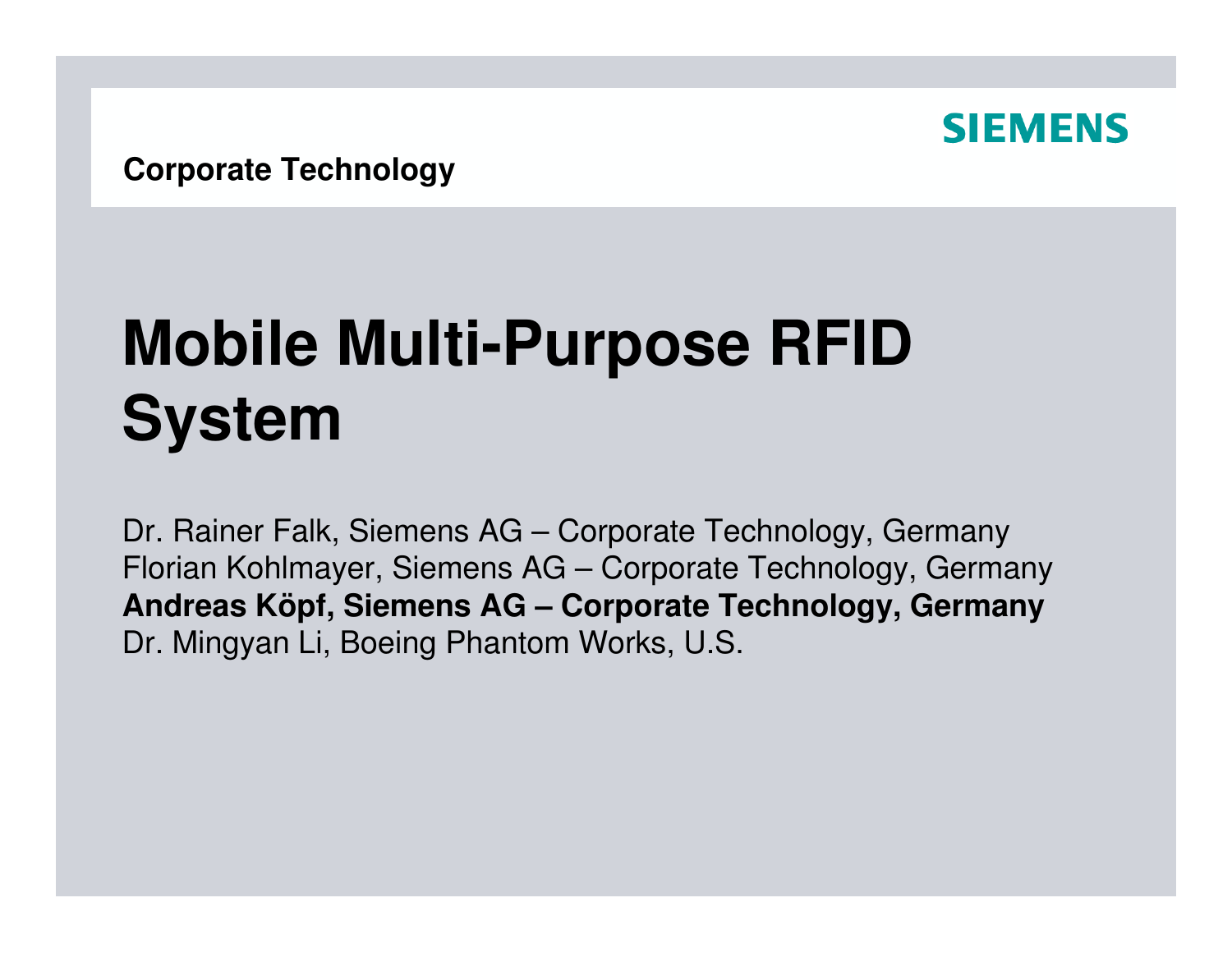

# **Mobile Multi-Purpose RFID System**

Dr. Rainer Falk, Siemens AG – Corporate Technology, Germany Florian Kohlmayer, Siemens AG – Corporate Technology, Germany **Andreas Köpf, Siemens AG – Corporate Technology, Germany**Dr. Mingyan Li, Boeing Phantom Works, U.S.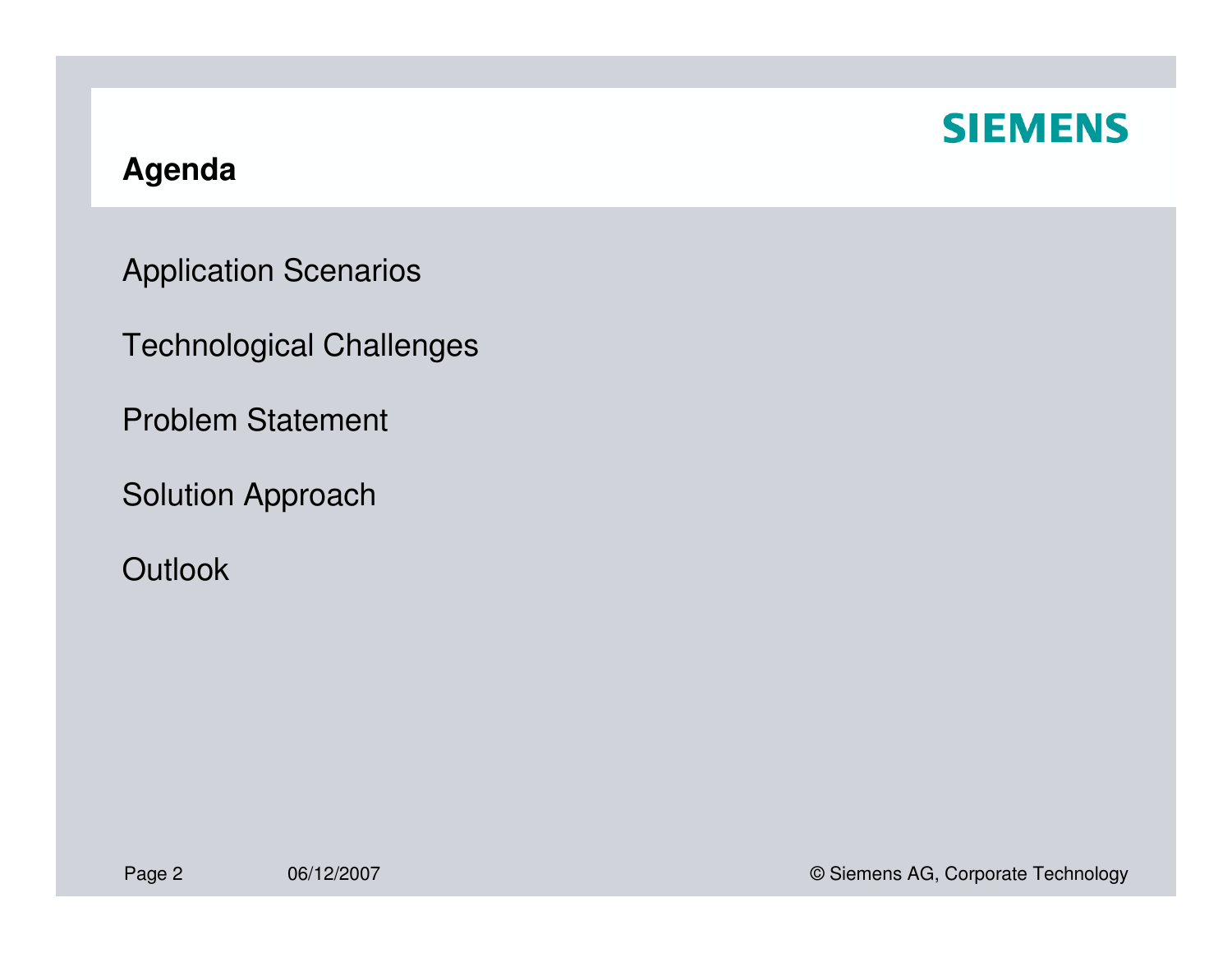

#### **Agenda**

Application Scenarios

Technological Challenges

Problem Statement

Solution Approach

**Outlook**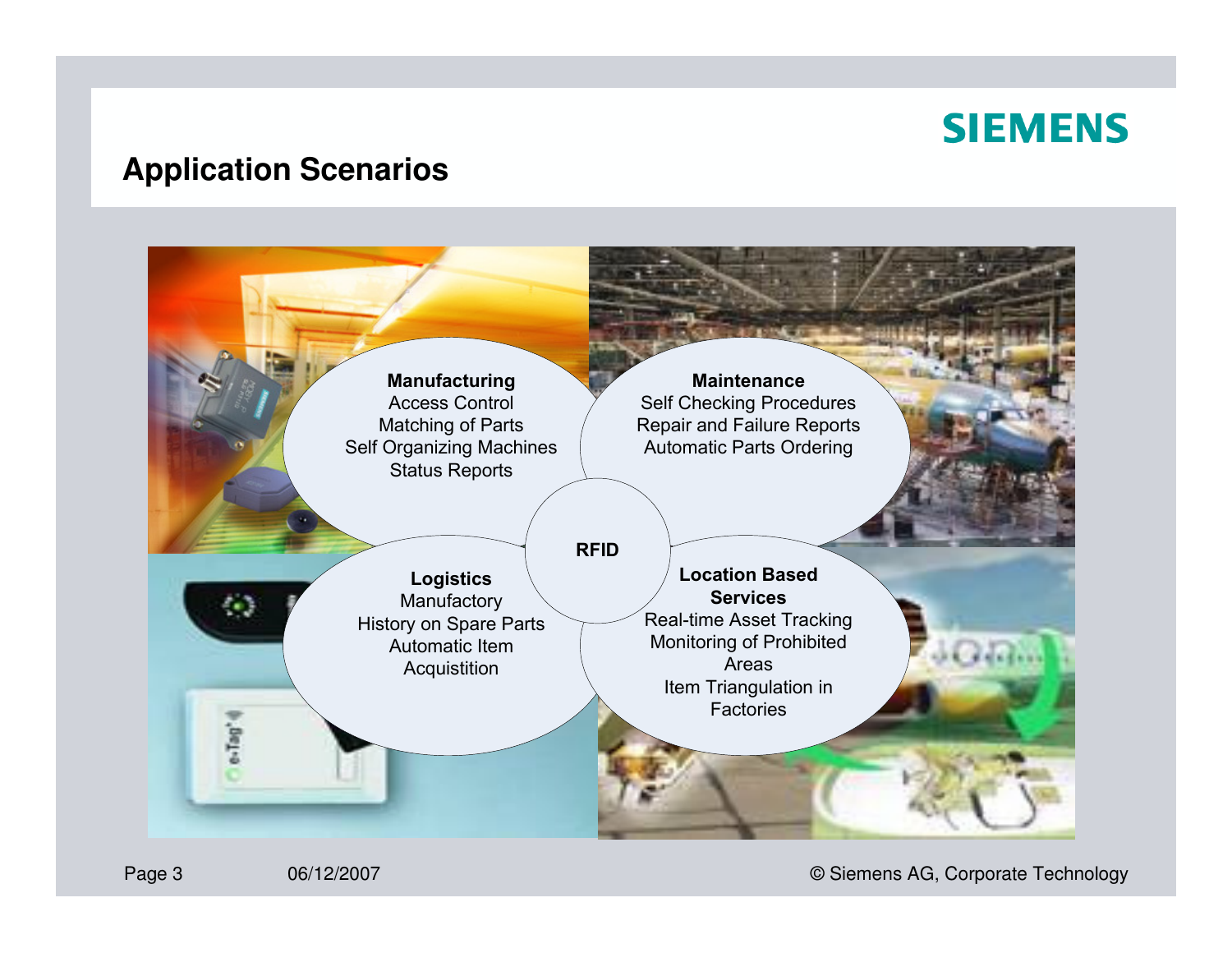#### **Application Scenarios**



06/12/2007 © Siemens AG, Corporate Technology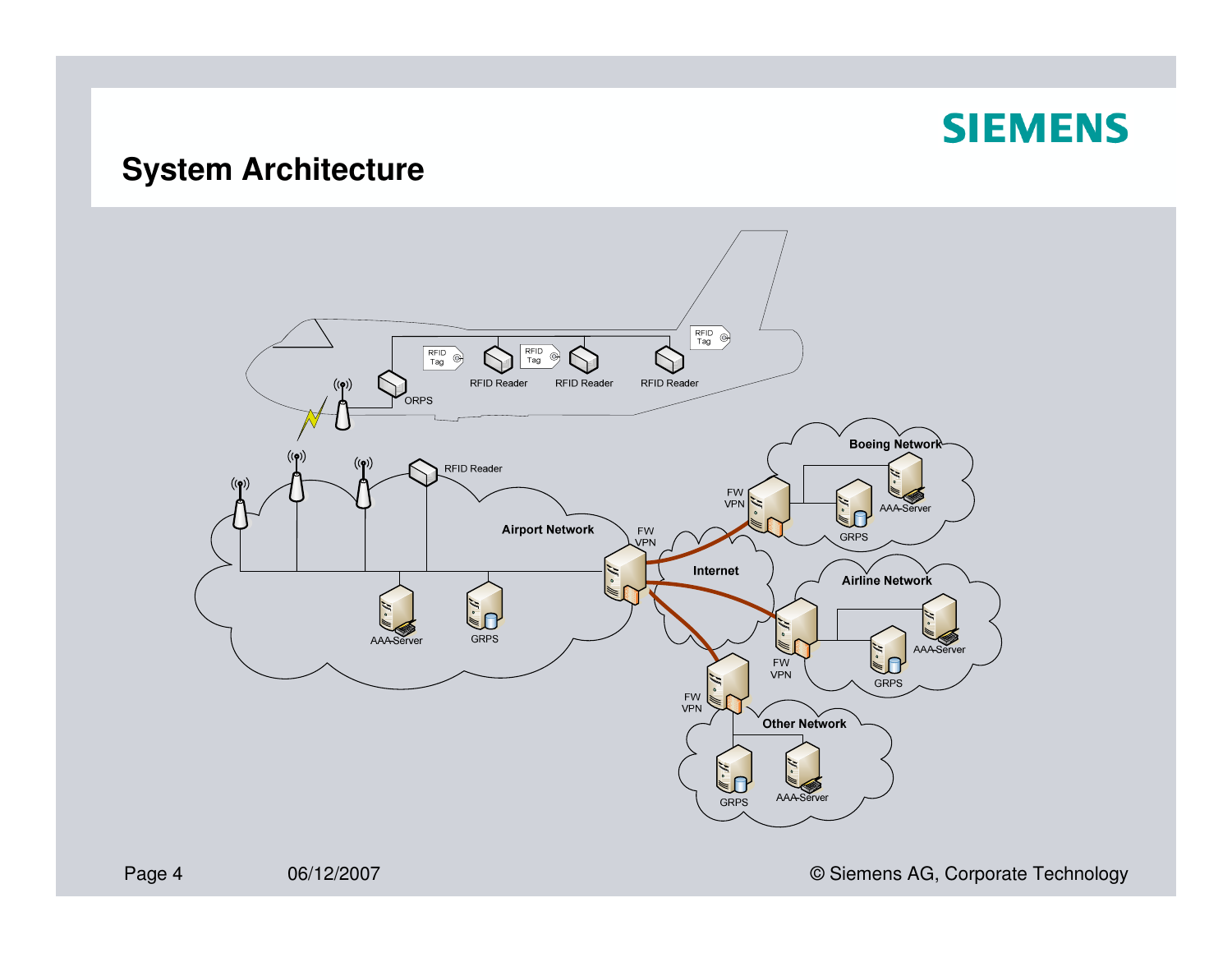## **System Architecture**

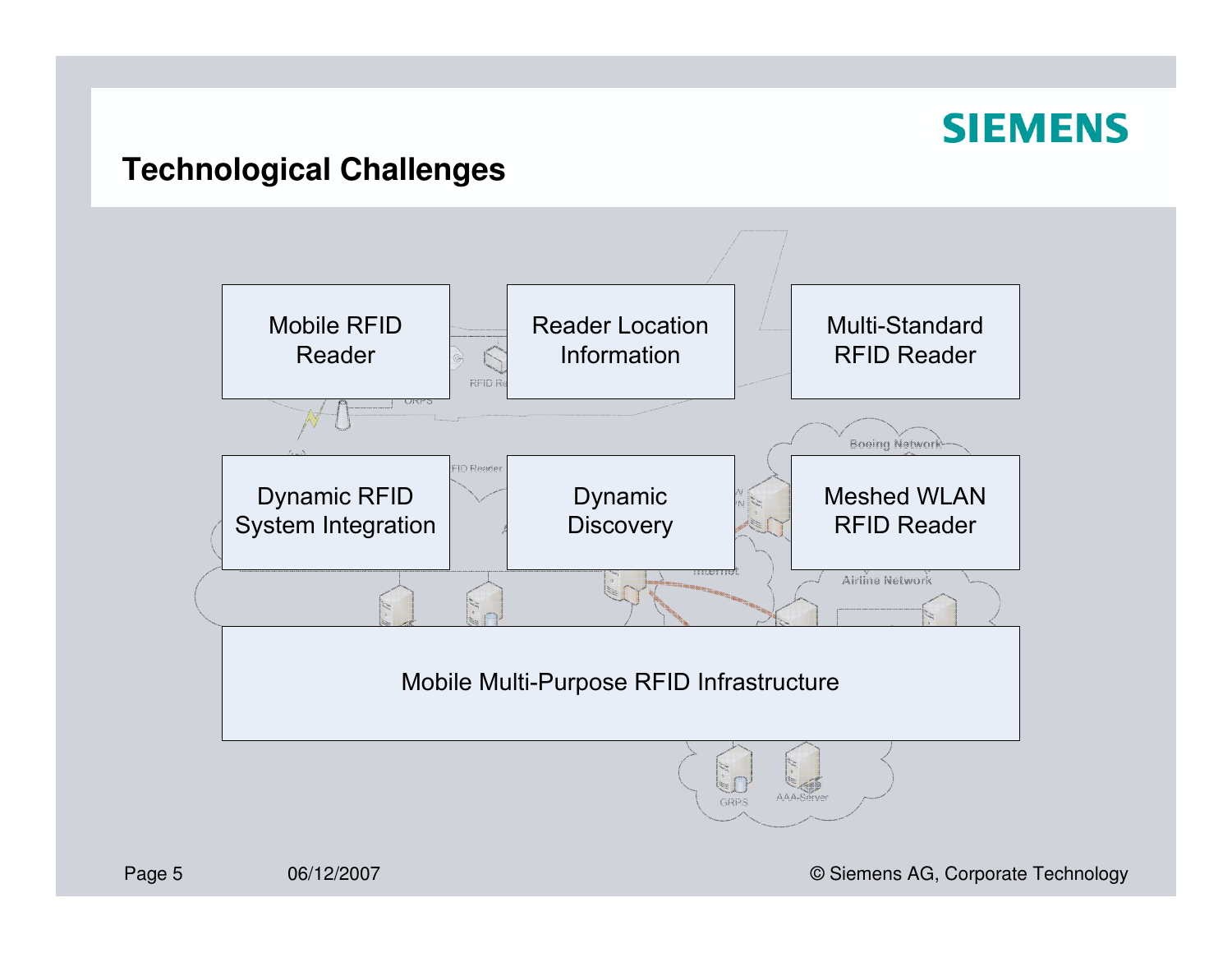#### **Technological Challenges**



06/12/2007 © Siemens AG, Corporate Technology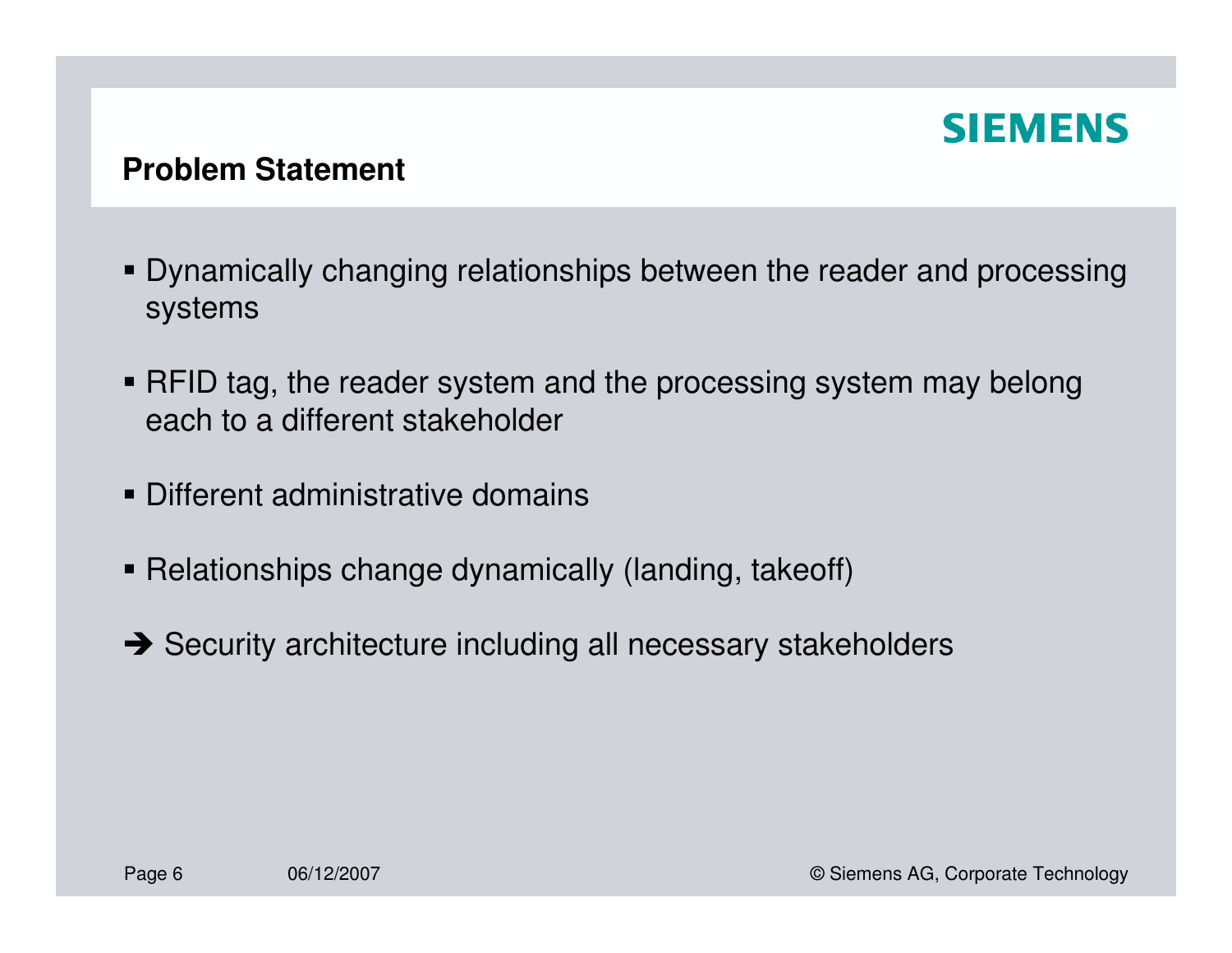#### **Problem Statement**

- Dynamically changing relationships between the reader and processing systems
- RFID tag, the reader system and the processing system may belongeach to a different stakeholder
- Different administrative domains
- Relationships change dynamically (landing, takeoff)
- → Security architecture including all necessary stakeholders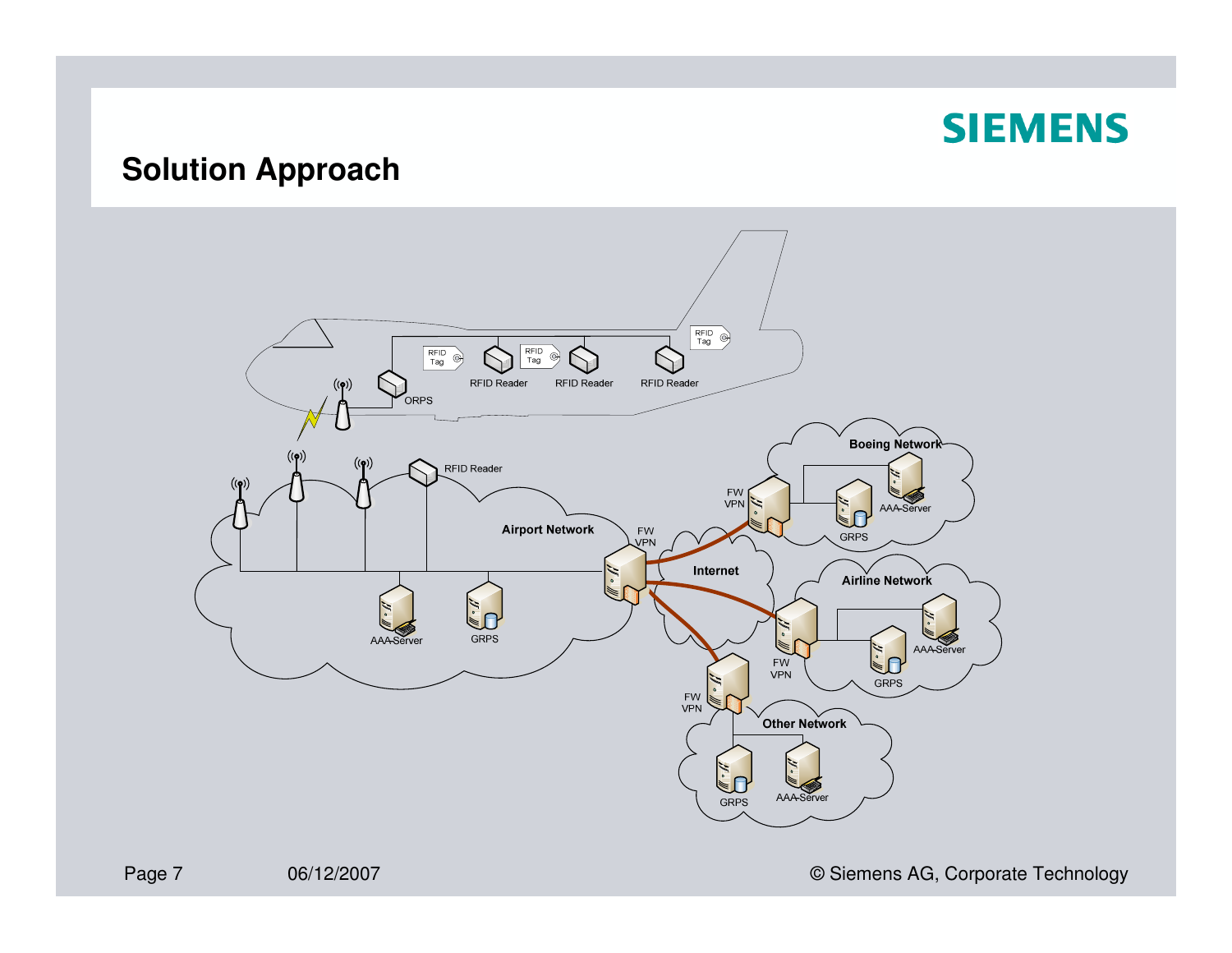## **Solution Approach**



06/12/2007 **CONFIDENTIAL CONTRACT CONTRACT CONTRACT CONTRACT CONTRACT CONTRACT CONTRACT CONTRACT CONTRACT CONTRACT CONTRACT CONTRACT CONTRACT CONTRACT CONTRACT CONTRACT CONTRACT CONTRACT CONTRACT CONTRACT CONTRACT CONTRACT**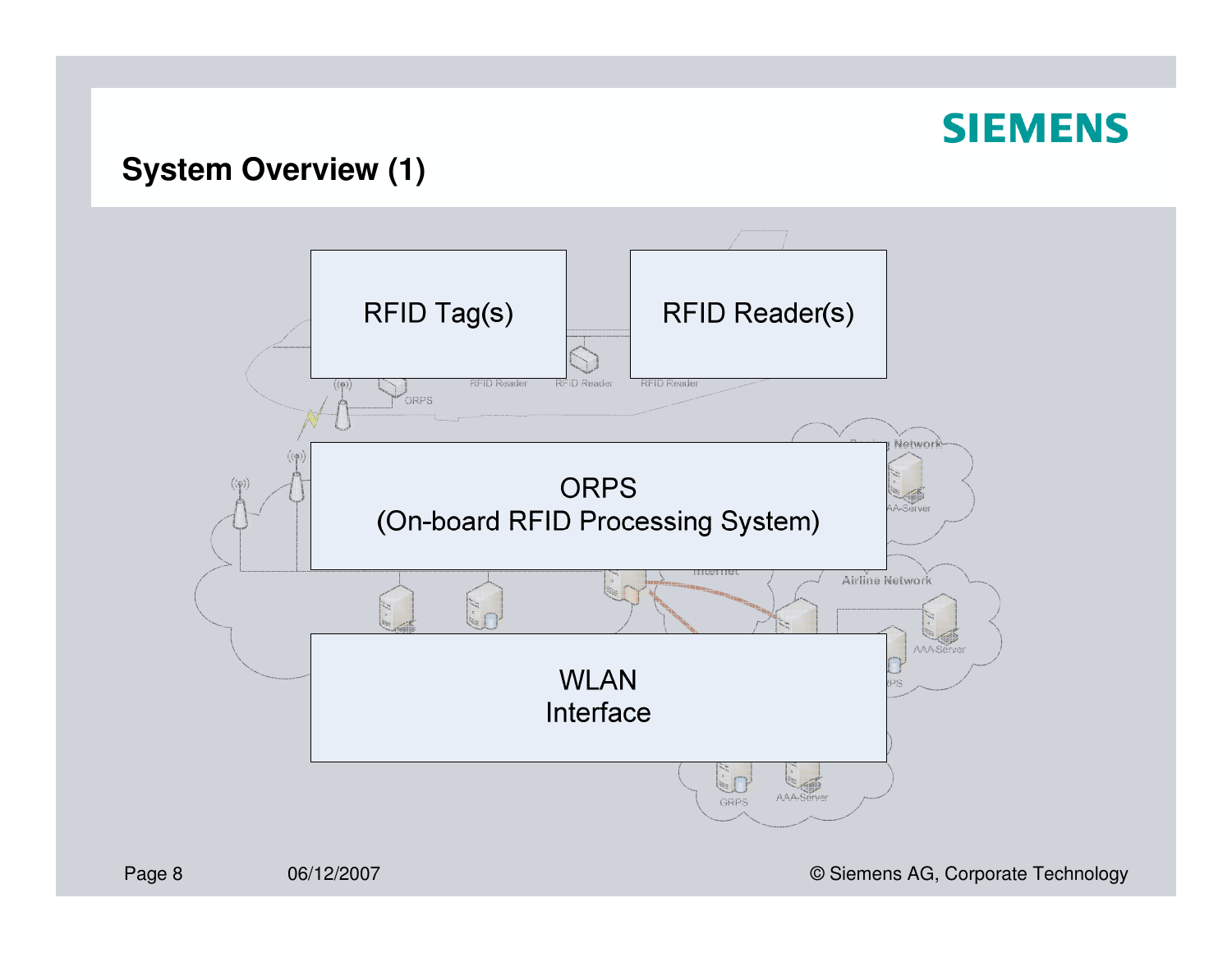## **System Overview (1)**



06/12/2007 **CONFIDENTIAL CONTRACT CONTRACT CONTRACT CONTRACT CONTRACT CONTRACT CONTRACT CONTRACT CONTRACT CONTR**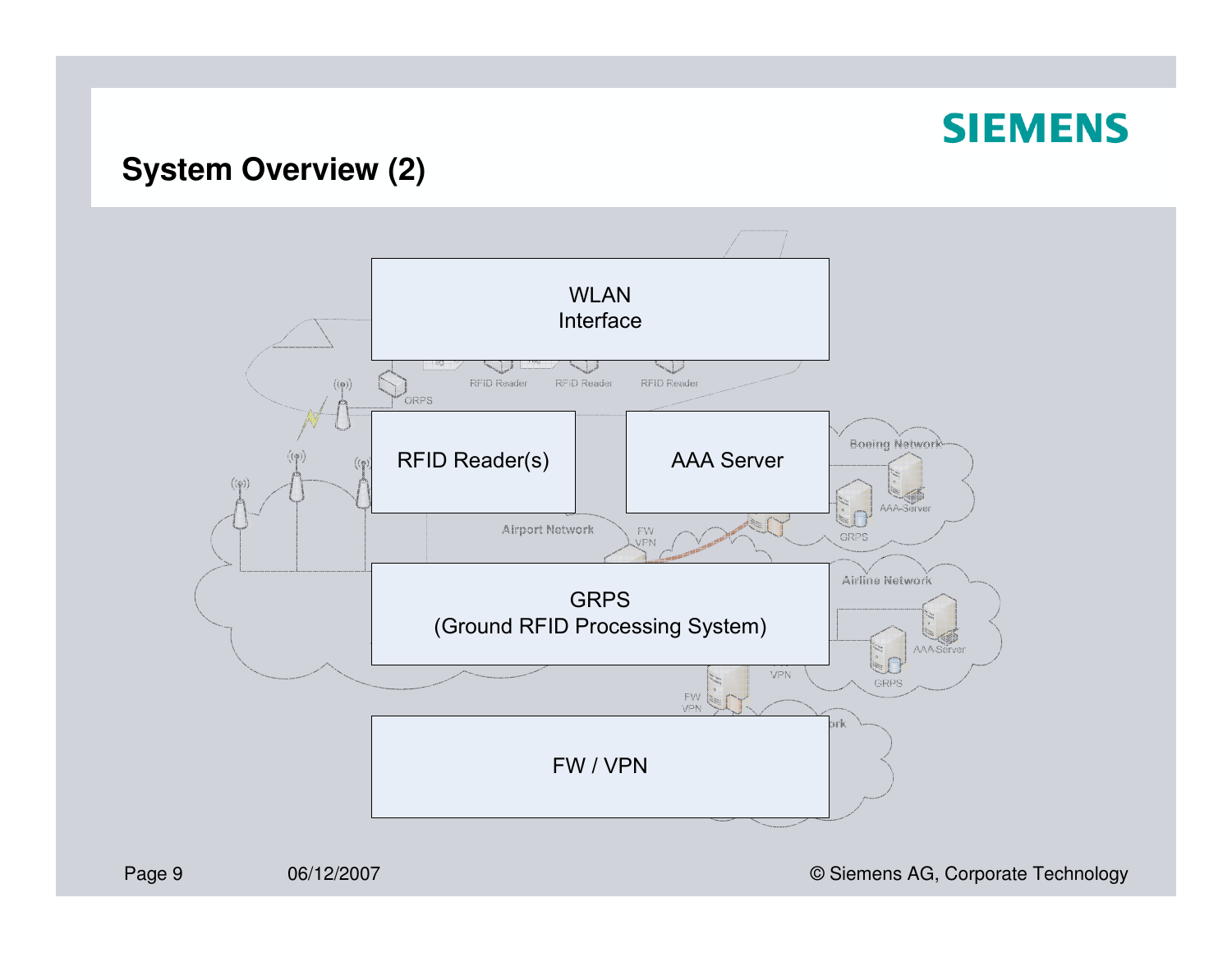## **System Overview (2)**



06/12/2007 **CONFIDENTIAL CONTRACT CONTRACT CONTRACT CONTRACT CONTRACT CONTRACT CONTRACT CONTRACT CONTRACT CONTRACT CONTRACT CONTRACT CONTRACT CONTRACT CONTRACT CONTRACT CONTRACT CONTRACT CONTRACT CONTRACT CONTRACT CONTRACT**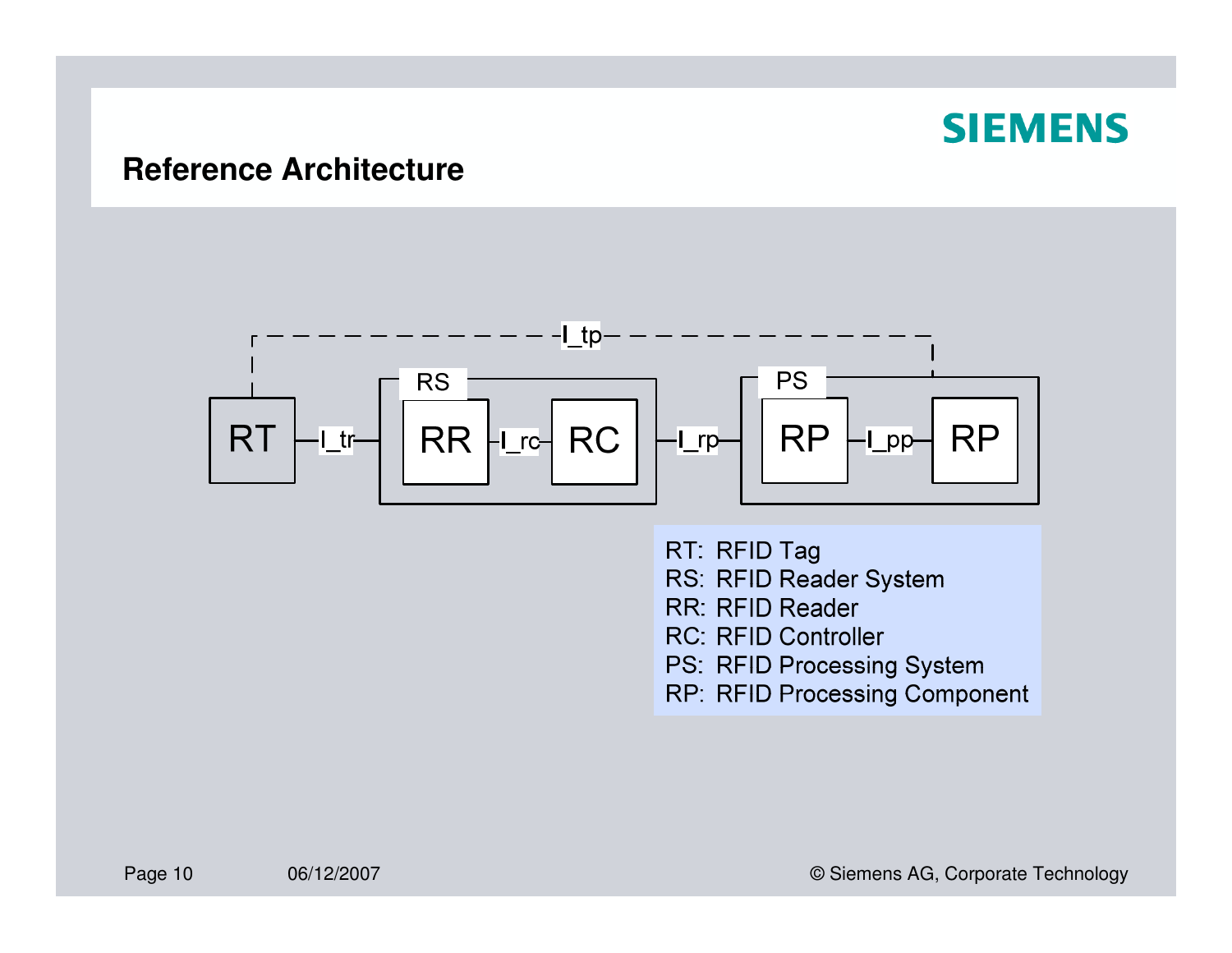#### **Reference Architecture**



RT: RFID Tag RS: RFID Reader System RR: RFID Reader **RC: RFID Controller** PS: RFID Processing System RP: RFID Processing Component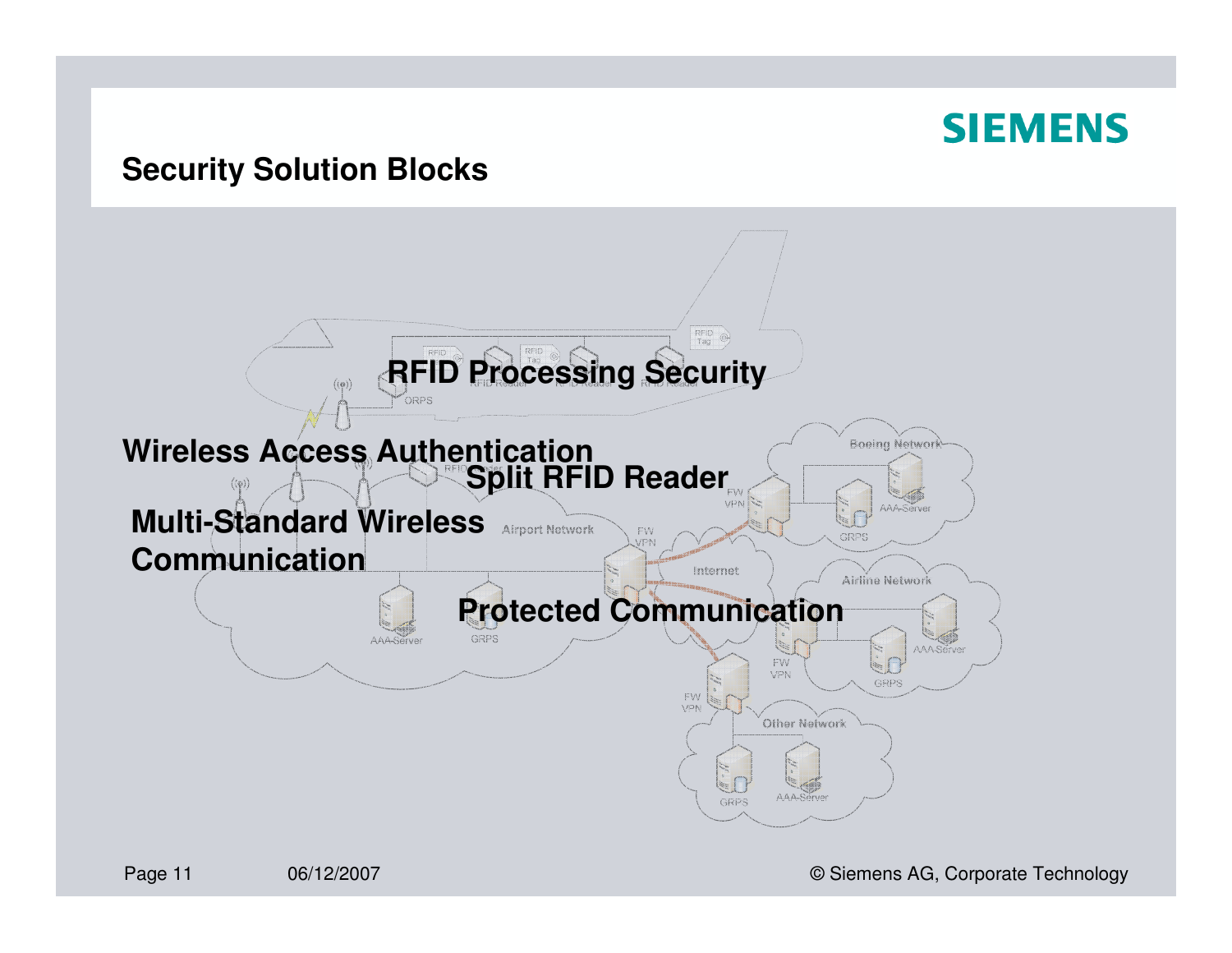#### **Security Solution Blocks**



06/12/2007 © Siemens AG, Corporate Technology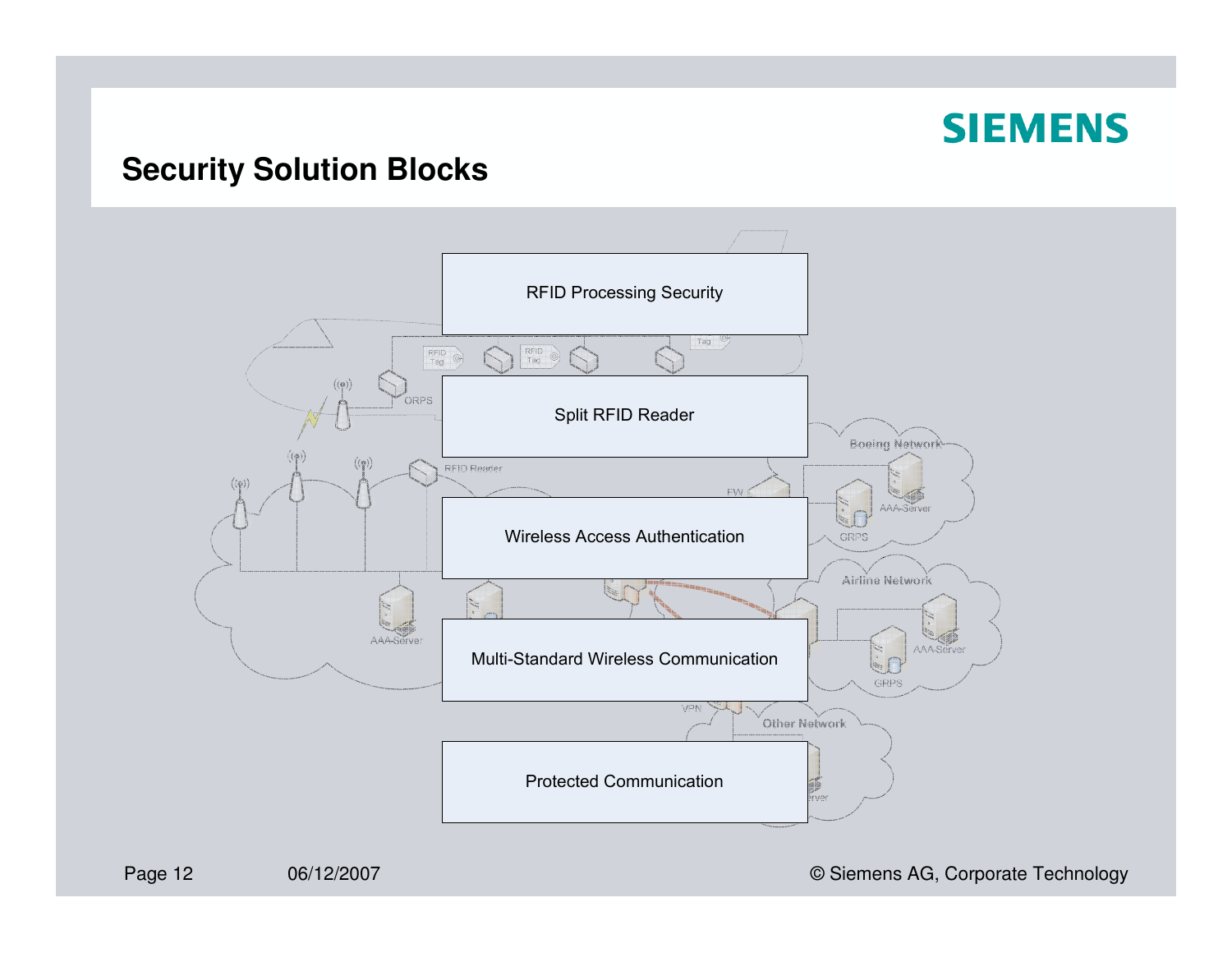### **Security Solution Blocks**



06/12/2007 **CONFIDENTIAL CONTRACT CONTRACT CONTRACT CONTRACT CONTRACT CONTRACT CONTRACT CONTRACT CONTRACT CONTRACT CONTRACT CONTRACT CONTRACT CONTRACT CONTRACT CONTRACT CONTRACT CONTRACT CONTRACT CONTRACT CONTRACT CONTRACT**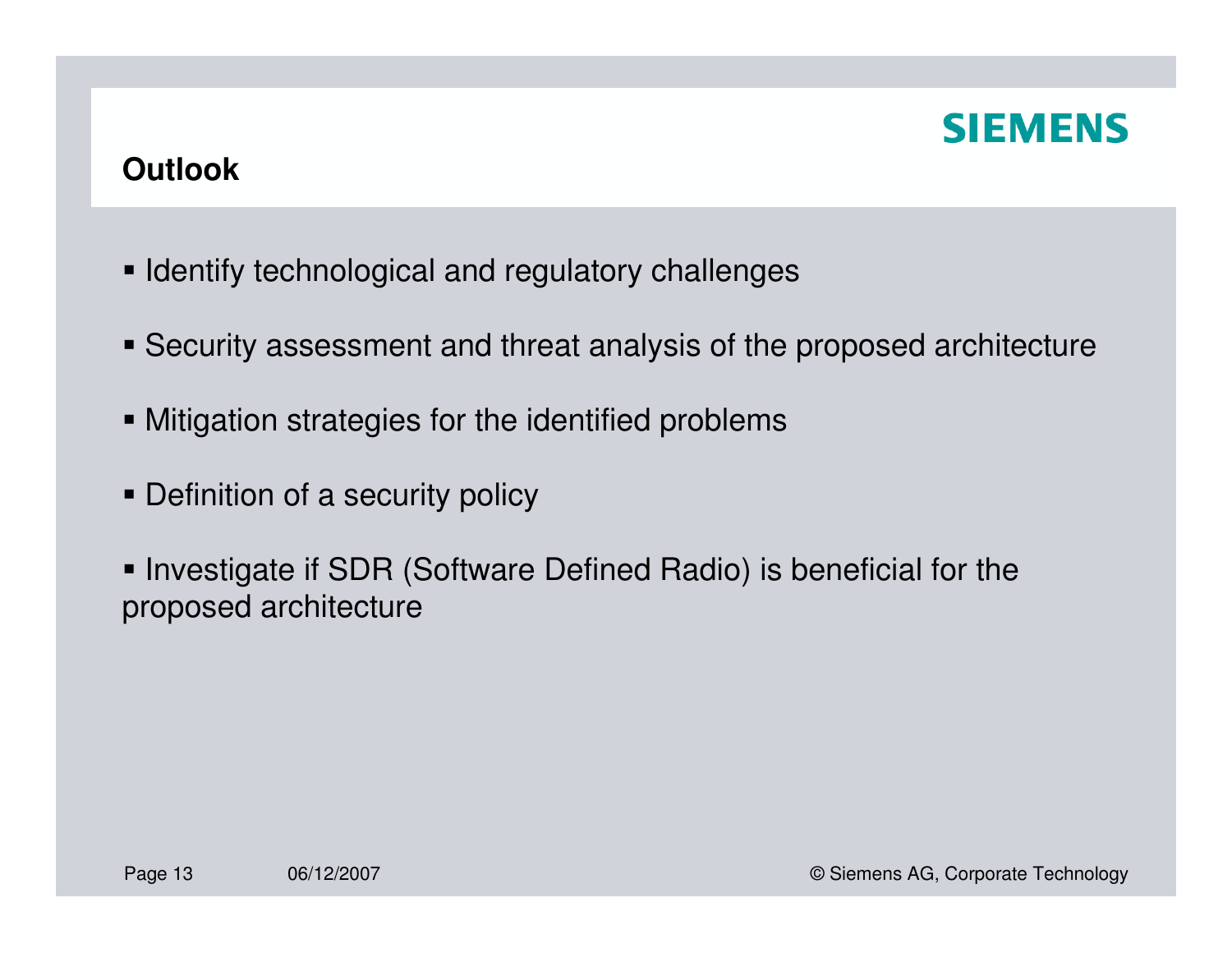## **Outlook**

- $\blacksquare$  Identify technological and regulatory challenges
- Security assessment and threat analysis of the proposed architecture
- Mitigation strategies for the identified problems
- Definition of a security policy
- **Investigate if SDR (Software Defined Radio) is beneficial for the** proposed architecture